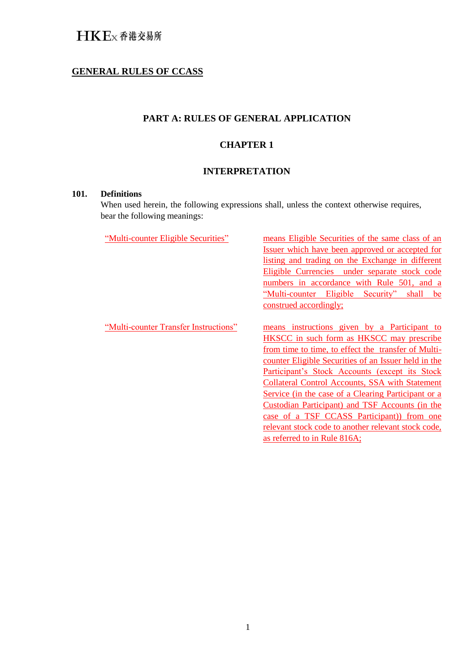# HKEx香港交易所

### **GENERAL RULES OF CCASS**

### **PART A: RULES OF GENERAL APPLICATION**

### **CHAPTER 1**

### **INTERPRETATION**

#### **101. Definitions**

When used herein, the following expressions shall, unless the context otherwise requires, bear the following meanings:

"Multi-counter Eligible Securities" means Eligible Securities of the same class of an Issuer which have been approved or accepted for listing and trading on the Exchange in different Eligible Currencies under separate stock code numbers in accordance with Rule 501, and a "Multi-counter Eligible Security" shall be construed accordingly;

"Multi-counter Transfer Instructions" means instructions given by a Participant to HKSCC in such form as HKSCC may prescribe from time to time, to effect the transfer of Multicounter Eligible Securities of an Issuer held in the Participant's Stock Accounts (except its Stock Collateral Control Accounts, SSA with Statement Service (in the case of a Clearing Participant or a Custodian Participant) and TSF Accounts (in the case of a TSF CCASS Participant)) from one relevant stock code to another relevant stock code, as referred to in Rule 816A;